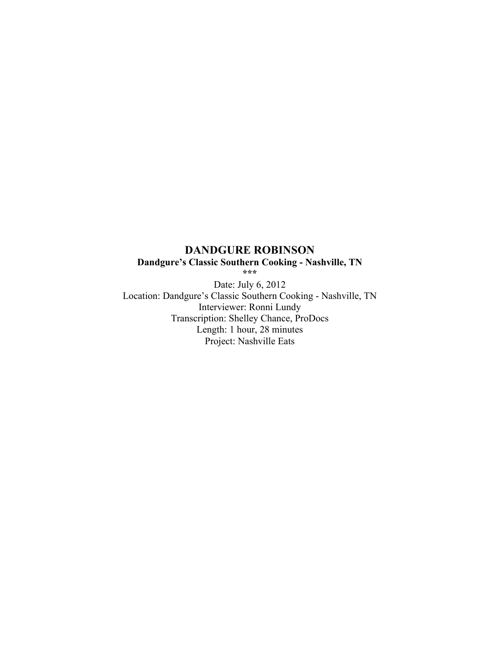# **DANDGURE ROBINSON Dandgure's Classic Southern Cooking - Nashville, TN**

**\*\*\***

Date: July 6, 2012 Location: Dandgure's Classic Southern Cooking - Nashville, TN Interviewer: Ronni Lundy Transcription: Shelley Chance, ProDocs Length: 1 hour, 28 minutes Project: Nashville Eats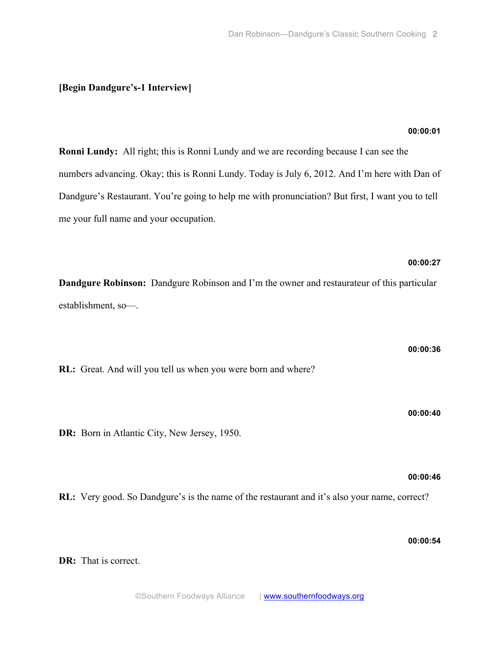# **[Begin Dandgure's-1 Interview]**

## **00:00:01**

**00:00:27**

**00:00:36**

**00:00:40**

**Ronni Lundy:** All right; this is Ronni Lundy and we are recording because I can see the numbers advancing. Okay; this is Ronni Lundy. Today is July 6, 2012. And I'm here with Dan of Dandgure's Restaurant. You're going to help me with pronunciation? But first, I want you to tell me your full name and your occupation.

# **Dandgure Robinson:** Dandgure Robinson and I'm the owner and restaurateur of this particular establishment, so—.

**RL:** Great. And will you tell us when you were born and where?

**DR:** Born in Atlantic City, New Jersey, 1950.

# **00:00:46**

**RL:** Very good. So Dandgure's is the name of the restaurant and it's also your name, correct?

**00:00:54**

**DR:** That is correct.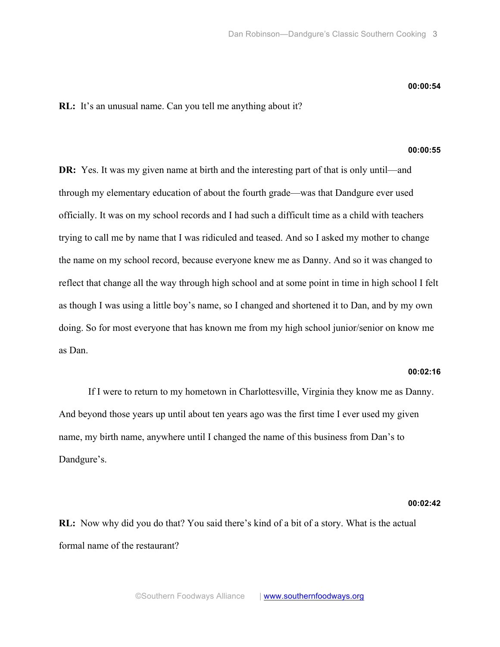#### **00:00:54**

**RL:** It's an unusual name. Can you tell me anything about it?

## **00:00:55**

**DR:** Yes. It was my given name at birth and the interesting part of that is only until—and through my elementary education of about the fourth grade—was that Dandgure ever used officially. It was on my school records and I had such a difficult time as a child with teachers trying to call me by name that I was ridiculed and teased. And so I asked my mother to change the name on my school record, because everyone knew me as Danny. And so it was changed to reflect that change all the way through high school and at some point in time in high school I felt as though I was using a little boy's name, so I changed and shortened it to Dan, and by my own doing. So for most everyone that has known me from my high school junior/senior on know me as Dan.

#### **00:02:16**

If I were to return to my hometown in Charlottesville, Virginia they know me as Danny. And beyond those years up until about ten years ago was the first time I ever used my given name, my birth name, anywhere until I changed the name of this business from Dan's to Dandgure's.

**00:02:42**

**RL:** Now why did you do that? You said there's kind of a bit of a story. What is the actual formal name of the restaurant?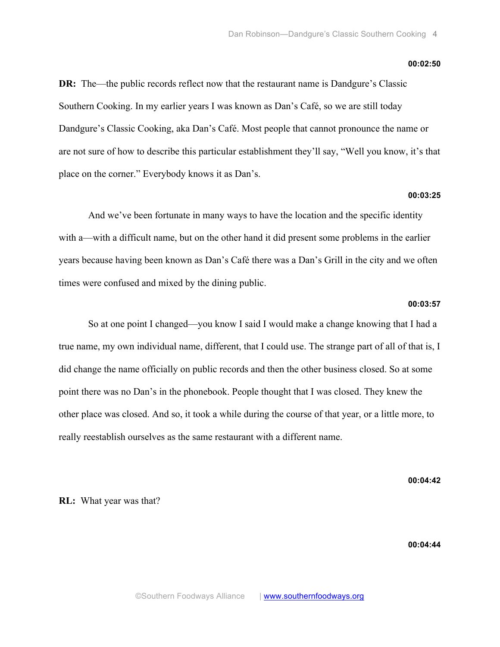#### **00:02:50**

**DR:** The—the public records reflect now that the restaurant name is Dandgure's Classic Southern Cooking. In my earlier years I was known as Dan's Café, so we are still today Dandgure's Classic Cooking, aka Dan's Café. Most people that cannot pronounce the name or are not sure of how to describe this particular establishment they'll say, "Well you know, it's that place on the corner." Everybody knows it as Dan's.

## **00:03:25**

And we've been fortunate in many ways to have the location and the specific identity with a—with a difficult name, but on the other hand it did present some problems in the earlier years because having been known as Dan's Café there was a Dan's Grill in the city and we often times were confused and mixed by the dining public.

#### **00:03:57**

So at one point I changed—you know I said I would make a change knowing that I had a true name, my own individual name, different, that I could use. The strange part of all of that is, I did change the name officially on public records and then the other business closed. So at some point there was no Dan's in the phonebook. People thought that I was closed. They knew the other place was closed. And so, it took a while during the course of that year, or a little more, to really reestablish ourselves as the same restaurant with a different name.

**00:04:42**

**RL:** What year was that?

**00:04:44**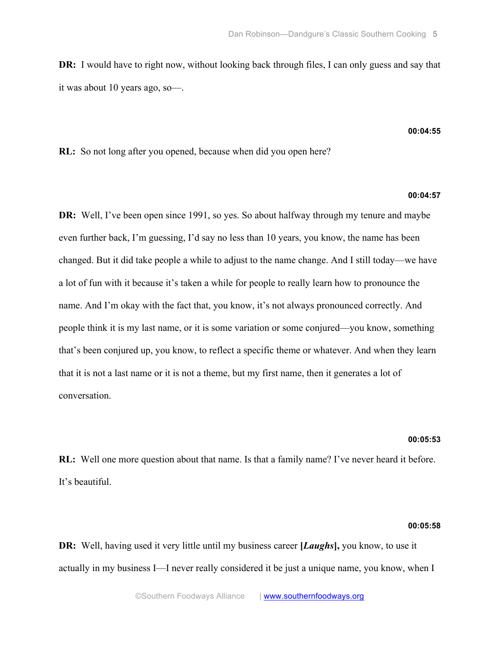**DR:** I would have to right now, without looking back through files, I can only guess and say that it was about 10 years ago, so—.

#### **00:04:55**

**RL:** So not long after you opened, because when did you open here?

## **00:04:57**

**DR:** Well, I've been open since 1991, so yes. So about halfway through my tenure and maybe even further back, I'm guessing, I'd say no less than 10 years, you know, the name has been changed. But it did take people a while to adjust to the name change. And I still today—we have a lot of fun with it because it's taken a while for people to really learn how to pronounce the name. And I'm okay with the fact that, you know, it's not always pronounced correctly. And people think it is my last name, or it is some variation or some conjured—you know, something that's been conjured up, you know, to reflect a specific theme or whatever. And when they learn that it is not a last name or it is not a theme, but my first name, then it generates a lot of conversation.

#### **00:05:53**

**RL:** Well one more question about that name. Is that a family name? I've never heard it before. It's beautiful.

## **00:05:58**

**DR:** Well, having used it very little until my business career **[***Laughs***],** you know, to use it actually in my business I—I never really considered it be just a unique name, you know, when I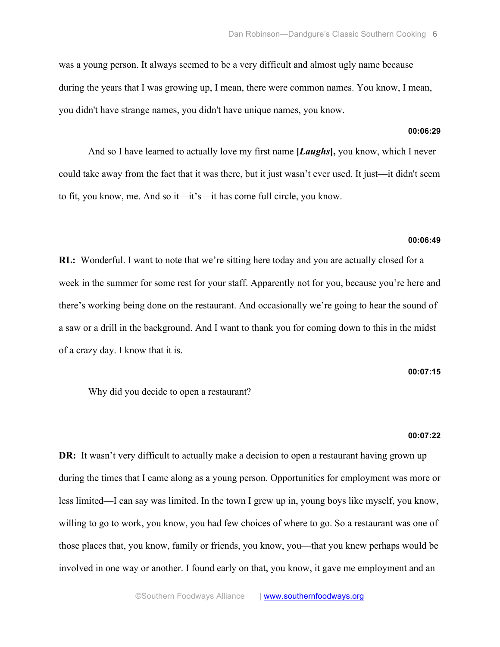was a young person. It always seemed to be a very difficult and almost ugly name because during the years that I was growing up, I mean, there were common names. You know, I mean, you didn't have strange names, you didn't have unique names, you know.

#### **00:06:29**

And so I have learned to actually love my first name **[***Laughs***],** you know, which I never could take away from the fact that it was there, but it just wasn't ever used. It just—it didn't seem to fit, you know, me. And so it—it's—it has come full circle, you know.

#### **00:06:49**

**RL:** Wonderful. I want to note that we're sitting here today and you are actually closed for a week in the summer for some rest for your staff. Apparently not for you, because you're here and there's working being done on the restaurant. And occasionally we're going to hear the sound of a saw or a drill in the background. And I want to thank you for coming down to this in the midst of a crazy day. I know that it is.

#### **00:07:15**

Why did you decide to open a restaurant?

#### **00:07:22**

**DR:** It wasn't very difficult to actually make a decision to open a restaurant having grown up during the times that I came along as a young person. Opportunities for employment was more or less limited—I can say was limited. In the town I grew up in, young boys like myself, you know, willing to go to work, you know, you had few choices of where to go. So a restaurant was one of those places that, you know, family or friends, you know, you—that you knew perhaps would be involved in one way or another. I found early on that, you know, it gave me employment and an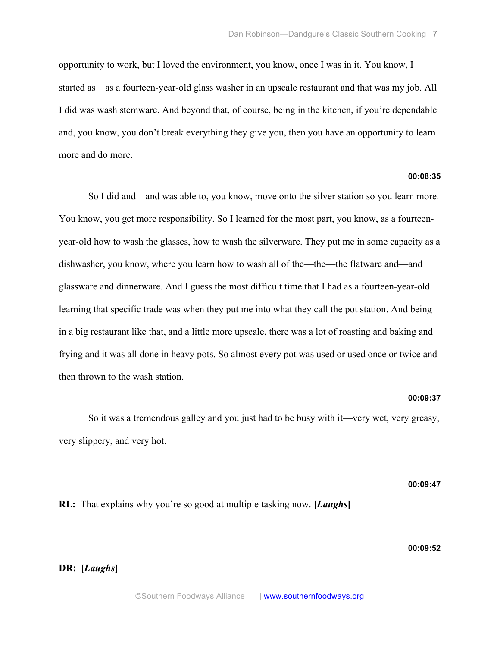opportunity to work, but I loved the environment, you know, once I was in it. You know, I started as—as a fourteen-year-old glass washer in an upscale restaurant and that was my job. All I did was wash stemware. And beyond that, of course, being in the kitchen, if you're dependable and, you know, you don't break everything they give you, then you have an opportunity to learn more and do more.

# **00:08:35**

So I did and—and was able to, you know, move onto the silver station so you learn more. You know, you get more responsibility. So I learned for the most part, you know, as a fourteenyear-old how to wash the glasses, how to wash the silverware. They put me in some capacity as a dishwasher, you know, where you learn how to wash all of the—the—the flatware and—and glassware and dinnerware. And I guess the most difficult time that I had as a fourteen-year-old learning that specific trade was when they put me into what they call the pot station. And being in a big restaurant like that, and a little more upscale, there was a lot of roasting and baking and frying and it was all done in heavy pots. So almost every pot was used or used once or twice and then thrown to the wash station.

## **00:09:37**

So it was a tremendous galley and you just had to be busy with it—very wet, very greasy, very slippery, and very hot.

#### **00:09:47**

**RL:** That explains why you're so good at multiple tasking now. **[***Laughs***]**

# **00:09:52**

**DR: [***Laughs***]**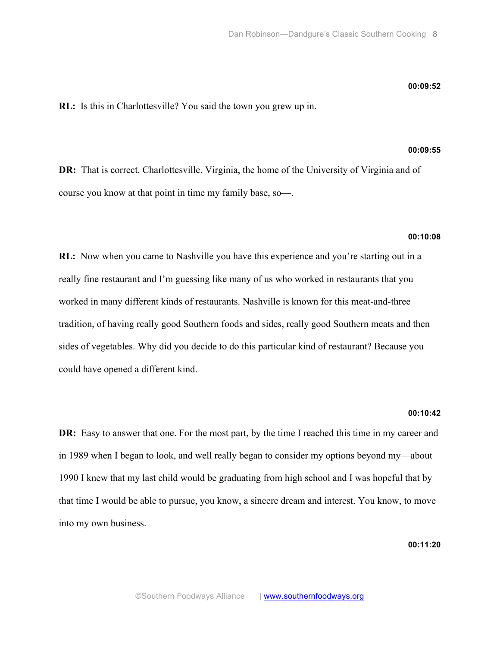#### **00:09:52**

**RL:** Is this in Charlottesville? You said the town you grew up in.

## **00:09:55**

**DR:** That is correct. Charlottesville, Virginia, the home of the University of Virginia and of course you know at that point in time my family base, so—.

## **00:10:08**

**RL:** Now when you came to Nashville you have this experience and you're starting out in a really fine restaurant and I'm guessing like many of us who worked in restaurants that you worked in many different kinds of restaurants. Nashville is known for this meat-and-three tradition, of having really good Southern foods and sides, really good Southern meats and then sides of vegetables. Why did you decide to do this particular kind of restaurant? Because you could have opened a different kind.

#### **00:10:42**

**DR:** Easy to answer that one. For the most part, by the time I reached this time in my career and in 1989 when I began to look, and well really began to consider my options beyond my—about 1990 I knew that my last child would be graduating from high school and I was hopeful that by that time I would be able to pursue, you know, a sincere dream and interest. You know, to move into my own business.

**00:11:20**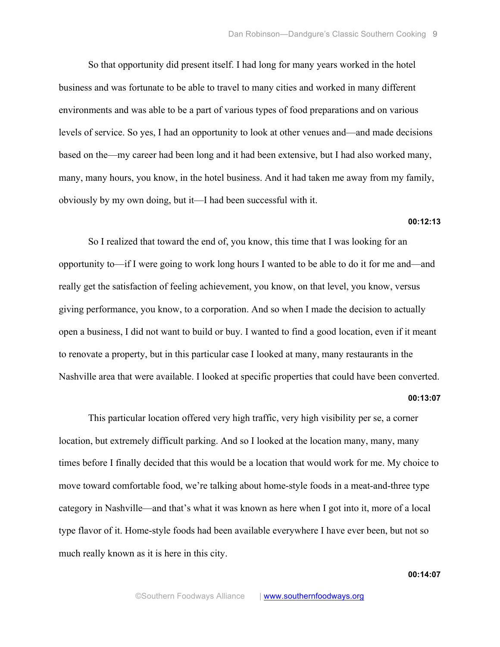So that opportunity did present itself. I had long for many years worked in the hotel business and was fortunate to be able to travel to many cities and worked in many different environments and was able to be a part of various types of food preparations and on various levels of service. So yes, I had an opportunity to look at other venues and—and made decisions based on the—my career had been long and it had been extensive, but I had also worked many, many, many hours, you know, in the hotel business. And it had taken me away from my family, obviously by my own doing, but it—I had been successful with it.

## **00:12:13**

So I realized that toward the end of, you know, this time that I was looking for an opportunity to—if I were going to work long hours I wanted to be able to do it for me and—and really get the satisfaction of feeling achievement, you know, on that level, you know, versus giving performance, you know, to a corporation. And so when I made the decision to actually open a business, I did not want to build or buy. I wanted to find a good location, even if it meant to renovate a property, but in this particular case I looked at many, many restaurants in the Nashville area that were available. I looked at specific properties that could have been converted.

#### **00:13:07**

This particular location offered very high traffic, very high visibility per se, a corner location, but extremely difficult parking. And so I looked at the location many, many, many times before I finally decided that this would be a location that would work for me. My choice to move toward comfortable food, we're talking about home-style foods in a meat-and-three type category in Nashville—and that's what it was known as here when I got into it, more of a local type flavor of it. Home-style foods had been available everywhere I have ever been, but not so much really known as it is here in this city.

**00:14:07**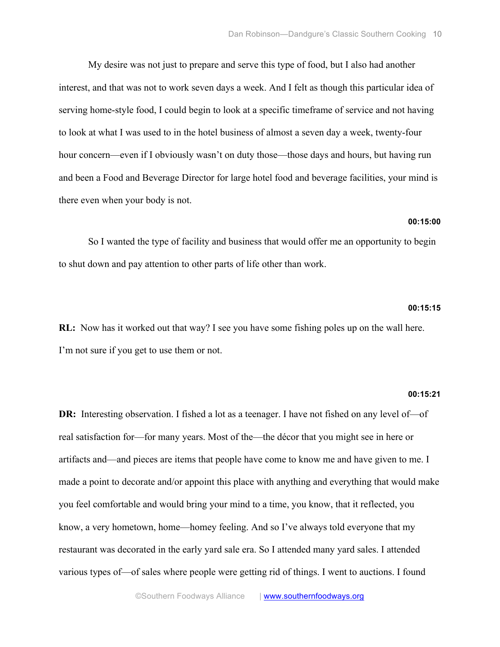My desire was not just to prepare and serve this type of food, but I also had another interest, and that was not to work seven days a week. And I felt as though this particular idea of serving home-style food, I could begin to look at a specific timeframe of service and not having to look at what I was used to in the hotel business of almost a seven day a week, twenty-four hour concern—even if I obviously wasn't on duty those—those days and hours, but having run and been a Food and Beverage Director for large hotel food and beverage facilities, your mind is there even when your body is not.

## **00:15:00**

So I wanted the type of facility and business that would offer me an opportunity to begin to shut down and pay attention to other parts of life other than work.

## **00:15:15**

**RL:** Now has it worked out that way? I see you have some fishing poles up on the wall here. I'm not sure if you get to use them or not.

#### **00:15:21**

**DR:** Interesting observation. I fished a lot as a teenager. I have not fished on any level of – of real satisfaction for—for many years. Most of the—the décor that you might see in here or artifacts and—and pieces are items that people have come to know me and have given to me. I made a point to decorate and/or appoint this place with anything and everything that would make you feel comfortable and would bring your mind to a time, you know, that it reflected, you know, a very hometown, home—homey feeling. And so I've always told everyone that my restaurant was decorated in the early yard sale era. So I attended many yard sales. I attended various types of—of sales where people were getting rid of things. I went to auctions. I found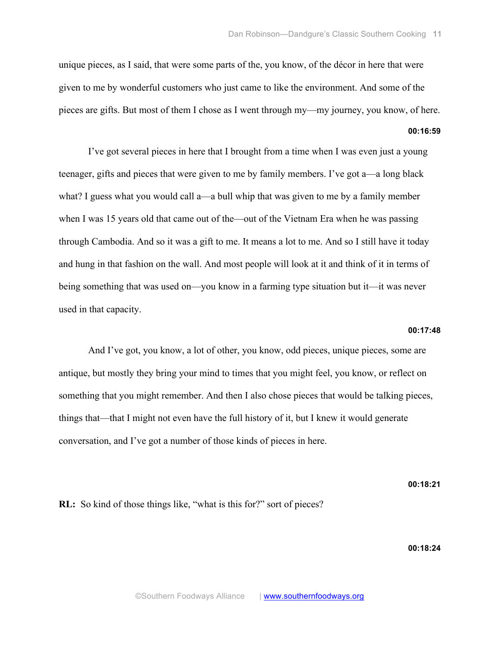unique pieces, as I said, that were some parts of the, you know, of the décor in here that were given to me by wonderful customers who just came to like the environment. And some of the pieces are gifts. But most of them I chose as I went through my—my journey, you know, of here.

I've got several pieces in here that I brought from a time when I was even just a young teenager, gifts and pieces that were given to me by family members. I've got a—a long black what? I guess what you would call a—a bull whip that was given to me by a family member when I was 15 years old that came out of the—out of the Vietnam Era when he was passing through Cambodia. And so it was a gift to me. It means a lot to me. And so I still have it today and hung in that fashion on the wall. And most people will look at it and think of it in terms of being something that was used on—you know in a farming type situation but it—it was never used in that capacity.

#### **00:17:48**

**00:16:59**

And I've got, you know, a lot of other, you know, odd pieces, unique pieces, some are antique, but mostly they bring your mind to times that you might feel, you know, or reflect on something that you might remember. And then I also chose pieces that would be talking pieces, things that—that I might not even have the full history of it, but I knew it would generate conversation, and I've got a number of those kinds of pieces in here.

**00:18:21**

**RL:** So kind of those things like, "what is this for?" sort of pieces?

# **00:18:24**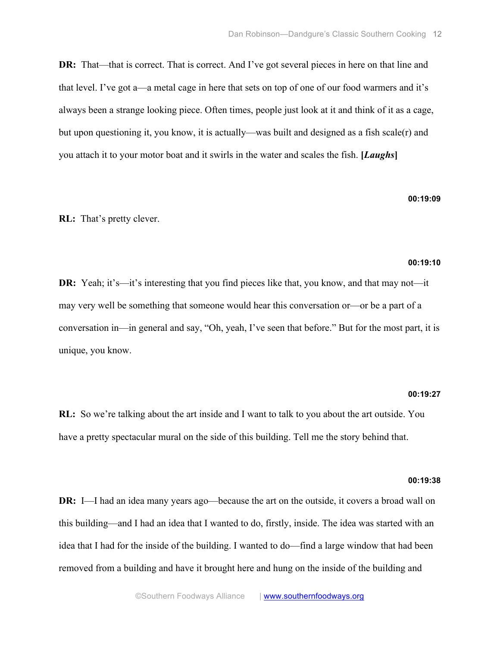**DR:** That—that is correct. That is correct. And I've got several pieces in here on that line and that level. I've got a—a metal cage in here that sets on top of one of our food warmers and it's always been a strange looking piece. Often times, people just look at it and think of it as a cage, but upon questioning it, you know, it is actually—was built and designed as a fish scale(r) and you attach it to your motor boat and it swirls in the water and scales the fish. **[***Laughs***]**

#### **00:19:09**

**RL:** That's pretty clever.

#### **00:19:10**

**DR:** Yeah; it's—it's interesting that you find pieces like that, you know, and that may not—it may very well be something that someone would hear this conversation or—or be a part of a conversation in—in general and say, "Oh, yeah, I've seen that before." But for the most part, it is unique, you know.

#### **00:19:27**

**RL:** So we're talking about the art inside and I want to talk to you about the art outside. You have a pretty spectacular mural on the side of this building. Tell me the story behind that.

#### **00:19:38**

**DR:** I—I had an idea many years ago—because the art on the outside, it covers a broad wall on this building—and I had an idea that I wanted to do, firstly, inside. The idea was started with an idea that I had for the inside of the building. I wanted to do—find a large window that had been removed from a building and have it brought here and hung on the inside of the building and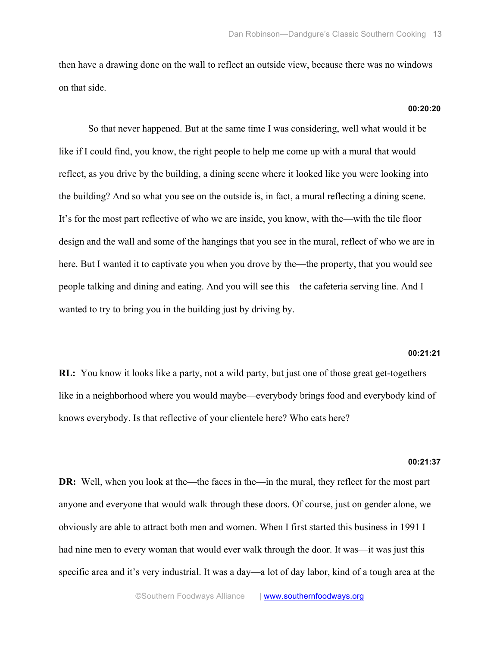then have a drawing done on the wall to reflect an outside view, because there was no windows on that side.

**00:20:20**

So that never happened. But at the same time I was considering, well what would it be like if I could find, you know, the right people to help me come up with a mural that would reflect, as you drive by the building, a dining scene where it looked like you were looking into the building? And so what you see on the outside is, in fact, a mural reflecting a dining scene. It's for the most part reflective of who we are inside, you know, with the—with the tile floor design and the wall and some of the hangings that you see in the mural, reflect of who we are in here. But I wanted it to captivate you when you drove by the—the property, that you would see people talking and dining and eating. And you will see this—the cafeteria serving line. And I wanted to try to bring you in the building just by driving by.

## **00:21:21**

**RL:** You know it looks like a party, not a wild party, but just one of those great get-togethers like in a neighborhood where you would maybe—everybody brings food and everybody kind of knows everybody. Is that reflective of your clientele here? Who eats here?

#### **00:21:37**

**DR:** Well, when you look at the—the faces in the—in the mural, they reflect for the most part anyone and everyone that would walk through these doors. Of course, just on gender alone, we obviously are able to attract both men and women. When I first started this business in 1991 I had nine men to every woman that would ever walk through the door. It was—it was just this specific area and it's very industrial. It was a day—a lot of day labor, kind of a tough area at the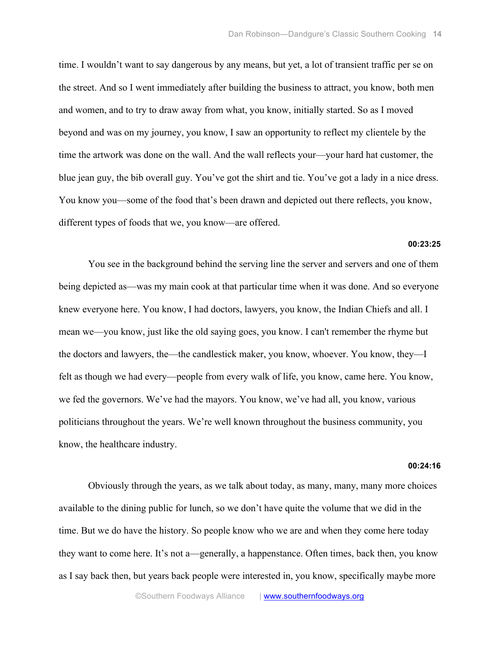time. I wouldn't want to say dangerous by any means, but yet, a lot of transient traffic per se on the street. And so I went immediately after building the business to attract, you know, both men and women, and to try to draw away from what, you know, initially started. So as I moved beyond and was on my journey, you know, I saw an opportunity to reflect my clientele by the time the artwork was done on the wall. And the wall reflects your—your hard hat customer, the blue jean guy, the bib overall guy. You've got the shirt and tie. You've got a lady in a nice dress. You know you—some of the food that's been drawn and depicted out there reflects, you know, different types of foods that we, you know—are offered.

**00:23:25**

You see in the background behind the serving line the server and servers and one of them being depicted as—was my main cook at that particular time when it was done. And so everyone knew everyone here. You know, I had doctors, lawyers, you know, the Indian Chiefs and all. I mean we—you know, just like the old saying goes, you know. I can't remember the rhyme but the doctors and lawyers, the—the candlestick maker, you know, whoever. You know, they—I felt as though we had every—people from every walk of life, you know, came here. You know, we fed the governors. We've had the mayors. You know, we've had all, you know, various politicians throughout the years. We're well known throughout the business community, you know, the healthcare industry.

#### **00:24:16**

Obviously through the years, as we talk about today, as many, many, many more choices available to the dining public for lunch, so we don't have quite the volume that we did in the time. But we do have the history. So people know who we are and when they come here today they want to come here. It's not a—generally, a happenstance. Often times, back then, you know as I say back then, but years back people were interested in, you know, specifically maybe more

©Southern Foodways Alliance | www.southernfoodways.org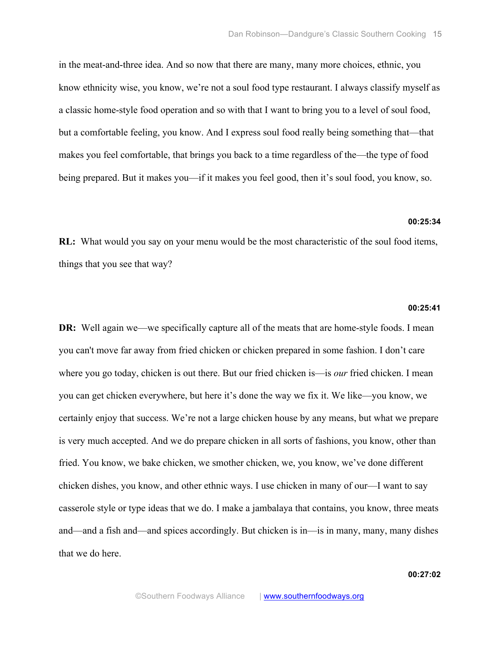in the meat-and-three idea. And so now that there are many, many more choices, ethnic, you know ethnicity wise, you know, we're not a soul food type restaurant. I always classify myself as a classic home-style food operation and so with that I want to bring you to a level of soul food, but a comfortable feeling, you know. And I express soul food really being something that—that makes you feel comfortable, that brings you back to a time regardless of the—the type of food being prepared. But it makes you—if it makes you feel good, then it's soul food, you know, so.

## **00:25:34**

**RL:** What would you say on your menu would be the most characteristic of the soul food items, things that you see that way?

## **00:25:41**

**DR:** Well again we—we specifically capture all of the meats that are home-style foods. I mean you can't move far away from fried chicken or chicken prepared in some fashion. I don't care where you go today, chicken is out there. But our fried chicken is—is *our* fried chicken. I mean you can get chicken everywhere, but here it's done the way we fix it. We like—you know, we certainly enjoy that success. We're not a large chicken house by any means, but what we prepare is very much accepted. And we do prepare chicken in all sorts of fashions, you know, other than fried. You know, we bake chicken, we smother chicken, we, you know, we've done different chicken dishes, you know, and other ethnic ways. I use chicken in many of our—I want to say casserole style or type ideas that we do. I make a jambalaya that contains, you know, three meats and—and a fish and—and spices accordingly. But chicken is in—is in many, many, many dishes that we do here.

**00:27:02**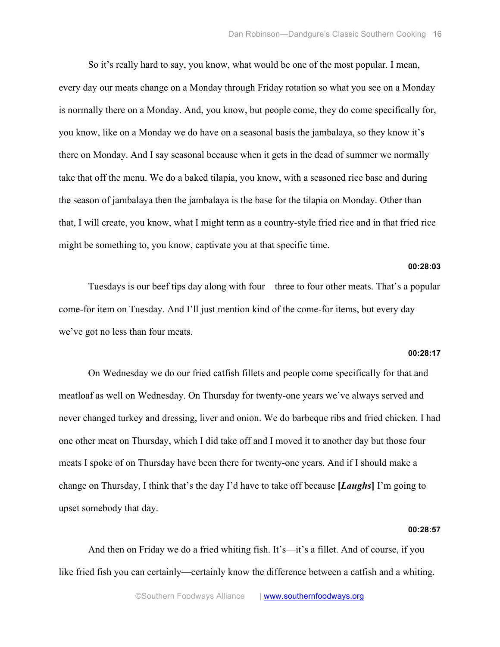So it's really hard to say, you know, what would be one of the most popular. I mean, every day our meats change on a Monday through Friday rotation so what you see on a Monday is normally there on a Monday. And, you know, but people come, they do come specifically for, you know, like on a Monday we do have on a seasonal basis the jambalaya, so they know it's there on Monday. And I say seasonal because when it gets in the dead of summer we normally take that off the menu. We do a baked tilapia, you know, with a seasoned rice base and during the season of jambalaya then the jambalaya is the base for the tilapia on Monday. Other than that, I will create, you know, what I might term as a country-style fried rice and in that fried rice might be something to, you know, captivate you at that specific time.

## **00:28:03**

Tuesdays is our beef tips day along with four—three to four other meats. That's a popular come-for item on Tuesday. And I'll just mention kind of the come-for items, but every day we've got no less than four meats.

# **00:28:17**

On Wednesday we do our fried catfish fillets and people come specifically for that and meatloaf as well on Wednesday. On Thursday for twenty-one years we've always served and never changed turkey and dressing, liver and onion. We do barbeque ribs and fried chicken. I had one other meat on Thursday, which I did take off and I moved it to another day but those four meats I spoke of on Thursday have been there for twenty-one years. And if I should make a change on Thursday, I think that's the day I'd have to take off because **[***Laughs***]** I'm going to upset somebody that day.

#### **00:28:57**

And then on Friday we do a fried whiting fish. It's—it's a fillet. And of course, if you like fried fish you can certainly—certainly know the difference between a catfish and a whiting.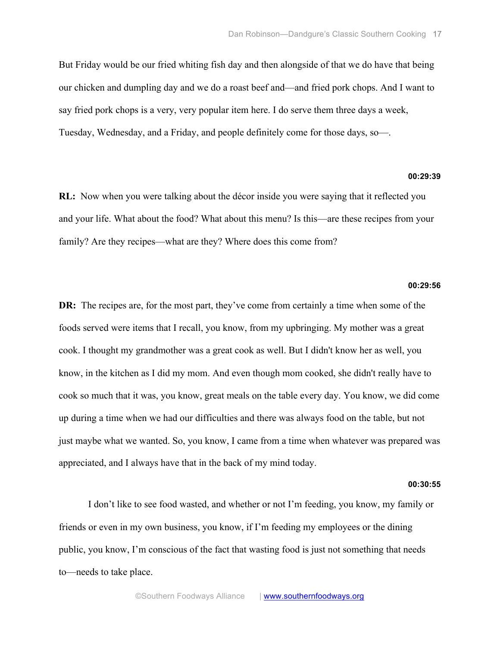But Friday would be our fried whiting fish day and then alongside of that we do have that being our chicken and dumpling day and we do a roast beef and—and fried pork chops. And I want to say fried pork chops is a very, very popular item here. I do serve them three days a week, Tuesday, Wednesday, and a Friday, and people definitely come for those days, so—.

## **00:29:39**

**RL:** Now when you were talking about the décor inside you were saying that it reflected you and your life. What about the food? What about this menu? Is this—are these recipes from your family? Are they recipes—what are they? Where does this come from?

## **00:29:56**

**DR:** The recipes are, for the most part, they've come from certainly a time when some of the foods served were items that I recall, you know, from my upbringing. My mother was a great cook. I thought my grandmother was a great cook as well. But I didn't know her as well, you know, in the kitchen as I did my mom. And even though mom cooked, she didn't really have to cook so much that it was, you know, great meals on the table every day. You know, we did come up during a time when we had our difficulties and there was always food on the table, but not just maybe what we wanted. So, you know, I came from a time when whatever was prepared was appreciated, and I always have that in the back of my mind today.

#### **00:30:55**

I don't like to see food wasted, and whether or not I'm feeding, you know, my family or friends or even in my own business, you know, if I'm feeding my employees or the dining public, you know, I'm conscious of the fact that wasting food is just not something that needs to—needs to take place.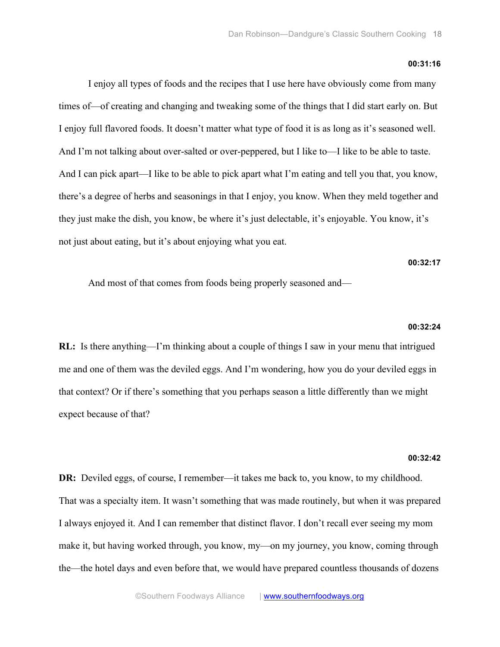#### **00:31:16**

I enjoy all types of foods and the recipes that I use here have obviously come from many times of—of creating and changing and tweaking some of the things that I did start early on. But I enjoy full flavored foods. It doesn't matter what type of food it is as long as it's seasoned well. And I'm not talking about over-salted or over-peppered, but I like to—I like to be able to taste. And I can pick apart—I like to be able to pick apart what I'm eating and tell you that, you know, there's a degree of herbs and seasonings in that I enjoy, you know. When they meld together and they just make the dish, you know, be where it's just delectable, it's enjoyable. You know, it's not just about eating, but it's about enjoying what you eat.

## **00:32:17**

And most of that comes from foods being properly seasoned and—

#### **00:32:24**

**RL:** Is there anything—I'm thinking about a couple of things I saw in your menu that intrigued me and one of them was the deviled eggs. And I'm wondering, how you do your deviled eggs in that context? Or if there's something that you perhaps season a little differently than we might expect because of that?

#### **00:32:42**

**DR:** Deviled eggs, of course, I remember—it takes me back to, you know, to my childhood. That was a specialty item. It wasn't something that was made routinely, but when it was prepared I always enjoyed it. And I can remember that distinct flavor. I don't recall ever seeing my mom make it, but having worked through, you know, my—on my journey, you know, coming through the—the hotel days and even before that, we would have prepared countless thousands of dozens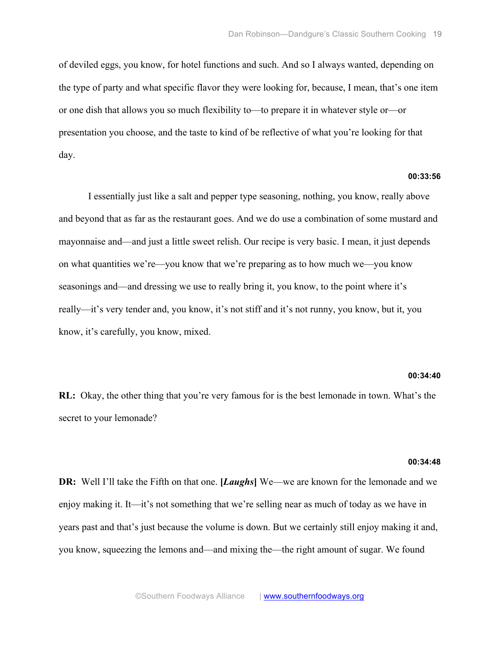of deviled eggs, you know, for hotel functions and such. And so I always wanted, depending on the type of party and what specific flavor they were looking for, because, I mean, that's one item or one dish that allows you so much flexibility to—to prepare it in whatever style or—or presentation you choose, and the taste to kind of be reflective of what you're looking for that day.

# **00:33:56**

I essentially just like a salt and pepper type seasoning, nothing, you know, really above and beyond that as far as the restaurant goes. And we do use a combination of some mustard and mayonnaise and—and just a little sweet relish. Our recipe is very basic. I mean, it just depends on what quantities we're—you know that we're preparing as to how much we—you know seasonings and—and dressing we use to really bring it, you know, to the point where it's really—it's very tender and, you know, it's not stiff and it's not runny, you know, but it, you know, it's carefully, you know, mixed.

#### **00:34:40**

**RL:** Okay, the other thing that you're very famous for is the best lemonade in town. What's the secret to your lemonade?

#### **00:34:48**

**DR:** Well I'll take the Fifth on that one. **[***Laughs***]** We—we are known for the lemonade and we enjoy making it. It—it's not something that we're selling near as much of today as we have in years past and that's just because the volume is down. But we certainly still enjoy making it and, you know, squeezing the lemons and—and mixing the—the right amount of sugar. We found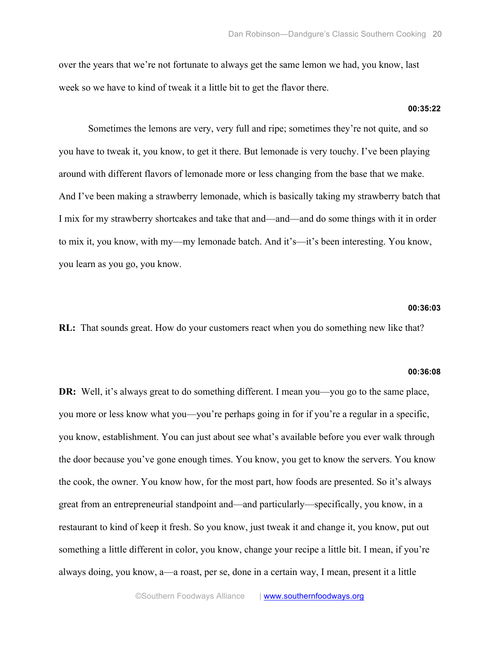over the years that we're not fortunate to always get the same lemon we had, you know, last week so we have to kind of tweak it a little bit to get the flavor there.

## **00:35:22**

Sometimes the lemons are very, very full and ripe; sometimes they're not quite, and so you have to tweak it, you know, to get it there. But lemonade is very touchy. I've been playing around with different flavors of lemonade more or less changing from the base that we make. And I've been making a strawberry lemonade, which is basically taking my strawberry batch that I mix for my strawberry shortcakes and take that and—and—and do some things with it in order to mix it, you know, with my—my lemonade batch. And it's—it's been interesting. You know, you learn as you go, you know.

## **00:36:03**

**RL:** That sounds great. How do your customers react when you do something new like that?

#### **00:36:08**

**DR:** Well, it's always great to do something different. I mean you—you go to the same place, you more or less know what you—you're perhaps going in for if you're a regular in a specific, you know, establishment. You can just about see what's available before you ever walk through the door because you've gone enough times. You know, you get to know the servers. You know the cook, the owner. You know how, for the most part, how foods are presented. So it's always great from an entrepreneurial standpoint and—and particularly—specifically, you know, in a restaurant to kind of keep it fresh. So you know, just tweak it and change it, you know, put out something a little different in color, you know, change your recipe a little bit. I mean, if you're always doing, you know, a—a roast, per se, done in a certain way, I mean, present it a little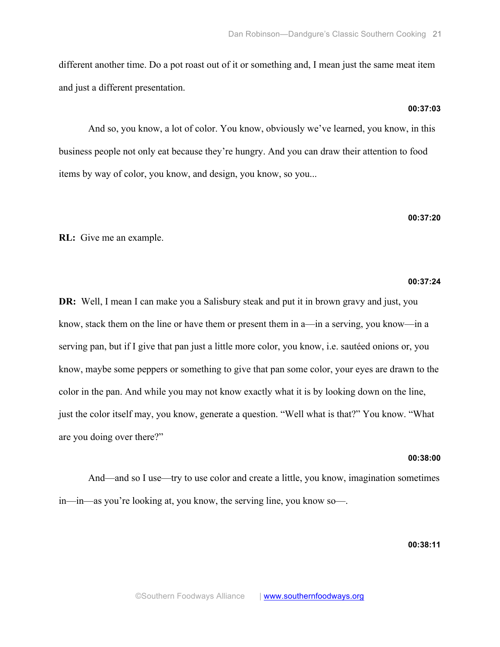different another time. Do a pot roast out of it or something and, I mean just the same meat item and just a different presentation.

And so, you know, a lot of color. You know, obviously we've learned, you know, in this business people not only eat because they're hungry. And you can draw their attention to food items by way of color, you know, and design, you know, so you...

**RL:** Give me an example.

#### **00:37:24**

**DR:** Well, I mean I can make you a Salisbury steak and put it in brown gravy and just, you know, stack them on the line or have them or present them in a—in a serving, you know—in a serving pan, but if I give that pan just a little more color, you know, i.e. sautéed onions or, you know, maybe some peppers or something to give that pan some color, your eyes are drawn to the color in the pan. And while you may not know exactly what it is by looking down on the line, just the color itself may, you know, generate a question. "Well what is that?" You know. "What are you doing over there?"

## **00:38:00**

And—and so I use—try to use color and create a little, you know, imagination sometimes in—in—as you're looking at, you know, the serving line, you know so—.

**00:38:11**

## **00:37:03**

# **00:37:20**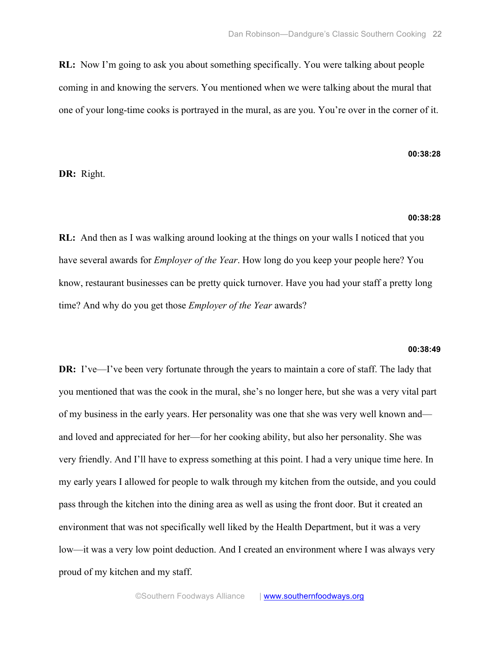**RL:** Now I'm going to ask you about something specifically. You were talking about people coming in and knowing the servers. You mentioned when we were talking about the mural that one of your long-time cooks is portrayed in the mural, as are you. You're over in the corner of it.

# **00:38:28**

**DR:** Right.

## **00:38:28**

**RL:** And then as I was walking around looking at the things on your walls I noticed that you have several awards for *Employer of the Year*. How long do you keep your people here? You know, restaurant businesses can be pretty quick turnover. Have you had your staff a pretty long time? And why do you get those *Employer of the Year* awards?

#### **00:38:49**

**DR:** I've—I've been very fortunate through the years to maintain a core of staff. The lady that you mentioned that was the cook in the mural, she's no longer here, but she was a very vital part of my business in the early years. Her personality was one that she was very well known and and loved and appreciated for her—for her cooking ability, but also her personality. She was very friendly. And I'll have to express something at this point. I had a very unique time here. In my early years I allowed for people to walk through my kitchen from the outside, and you could pass through the kitchen into the dining area as well as using the front door. But it created an environment that was not specifically well liked by the Health Department, but it was a very low—it was a very low point deduction. And I created an environment where I was always very proud of my kitchen and my staff.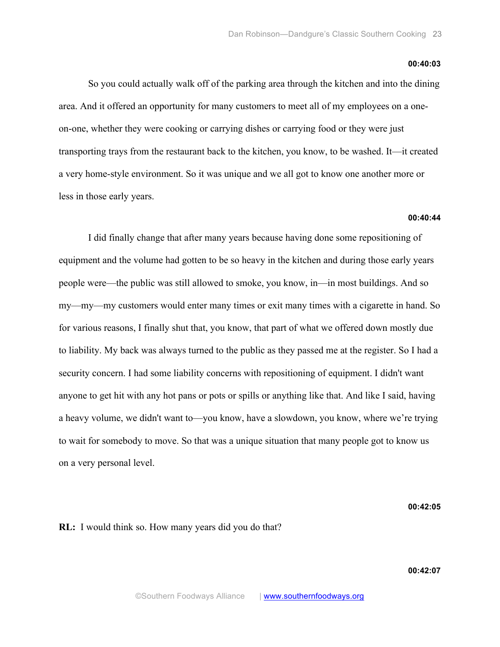#### **00:40:03**

So you could actually walk off of the parking area through the kitchen and into the dining area. And it offered an opportunity for many customers to meet all of my employees on a oneon-one, whether they were cooking or carrying dishes or carrying food or they were just transporting trays from the restaurant back to the kitchen, you know, to be washed. It—it created a very home-style environment. So it was unique and we all got to know one another more or less in those early years.

#### **00:40:44**

I did finally change that after many years because having done some repositioning of equipment and the volume had gotten to be so heavy in the kitchen and during those early years people were—the public was still allowed to smoke, you know, in—in most buildings. And so my—my—my customers would enter many times or exit many times with a cigarette in hand. So for various reasons, I finally shut that, you know, that part of what we offered down mostly due to liability. My back was always turned to the public as they passed me at the register. So I had a security concern. I had some liability concerns with repositioning of equipment. I didn't want anyone to get hit with any hot pans or pots or spills or anything like that. And like I said, having a heavy volume, we didn't want to—you know, have a slowdown, you know, where we're trying to wait for somebody to move. So that was a unique situation that many people got to know us on a very personal level.

**00:42:05**

**RL:** I would think so. How many years did you do that?

**00:42:07**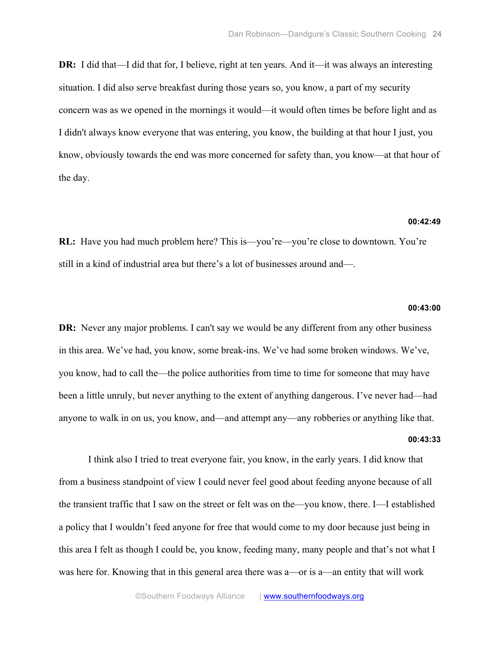**DR:** I did that—I did that for, I believe, right at ten years. And it—it was always an interesting situation. I did also serve breakfast during those years so, you know, a part of my security concern was as we opened in the mornings it would—it would often times be before light and as I didn't always know everyone that was entering, you know, the building at that hour I just, you know, obviously towards the end was more concerned for safety than, you know—at that hour of the day.

#### **00:42:49**

**RL:** Have you had much problem here? This is—you're—you're close to downtown. You're still in a kind of industrial area but there's a lot of businesses around and—.

#### **00:43:00**

**DR:** Never any major problems. I can't say we would be any different from any other business in this area. We've had, you know, some break-ins. We've had some broken windows. We've, you know, had to call the—the police authorities from time to time for someone that may have been a little unruly, but never anything to the extent of anything dangerous. I've never had—had anyone to walk in on us, you know, and—and attempt any—any robberies or anything like that. **00:43:33**

I think also I tried to treat everyone fair, you know, in the early years. I did know that from a business standpoint of view I could never feel good about feeding anyone because of all the transient traffic that I saw on the street or felt was on the—you know, there. I—I established a policy that I wouldn't feed anyone for free that would come to my door because just being in this area I felt as though I could be, you know, feeding many, many people and that's not what I was here for. Knowing that in this general area there was a—or is a—an entity that will work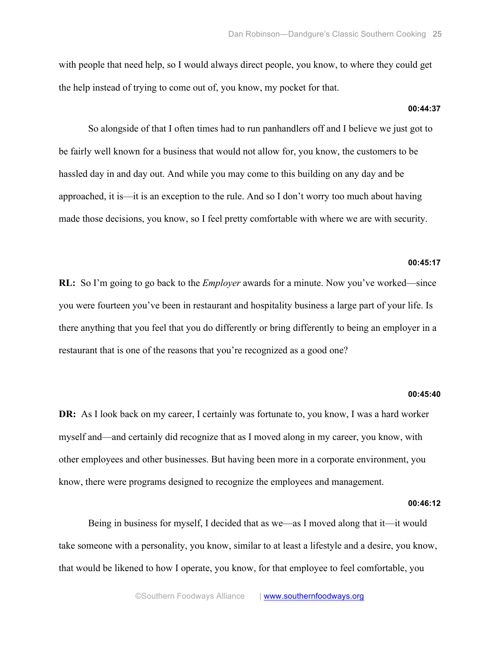with people that need help, so I would always direct people, you know, to where they could get the help instead of trying to come out of, you know, my pocket for that.

## **00:44:37**

So alongside of that I often times had to run panhandlers off and I believe we just got to be fairly well known for a business that would not allow for, you know, the customers to be hassled day in and day out. And while you may come to this building on any day and be approached, it is—it is an exception to the rule. And so I don't worry too much about having made those decisions, you know, so I feel pretty comfortable with where we are with security.

#### **00:45:17**

**RL:** So I'm going to go back to the *Employer* awards for a minute. Now you've worked—since you were fourteen you've been in restaurant and hospitality business a large part of your life. Is there anything that you feel that you do differently or bring differently to being an employer in a restaurant that is one of the reasons that you're recognized as a good one?

#### **00:45:40**

**DR:** As I look back on my career, I certainly was fortunate to, you know, I was a hard worker myself and—and certainly did recognize that as I moved along in my career, you know, with other employees and other businesses. But having been more in a corporate environment, you know, there were programs designed to recognize the employees and management.

## **00:46:12**

Being in business for myself, I decided that as we—as I moved along that it—it would take someone with a personality, you know, similar to at least a lifestyle and a desire, you know, that would be likened to how I operate, you know, for that employee to feel comfortable, you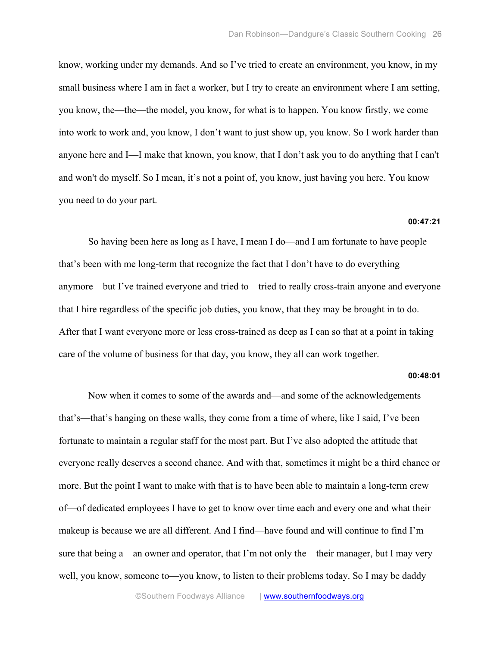know, working under my demands. And so I've tried to create an environment, you know, in my small business where I am in fact a worker, but I try to create an environment where I am setting, you know, the—the—the model, you know, for what is to happen. You know firstly, we come into work to work and, you know, I don't want to just show up, you know. So I work harder than anyone here and I—I make that known, you know, that I don't ask you to do anything that I can't and won't do myself. So I mean, it's not a point of, you know, just having you here. You know you need to do your part.

## **00:47:21**

So having been here as long as I have, I mean I do—and I am fortunate to have people that's been with me long-term that recognize the fact that I don't have to do everything anymore—but I've trained everyone and tried to—tried to really cross-train anyone and everyone that I hire regardless of the specific job duties, you know, that they may be brought in to do. After that I want everyone more or less cross-trained as deep as I can so that at a point in taking care of the volume of business for that day, you know, they all can work together.

## **00:48:01**

Now when it comes to some of the awards and—and some of the acknowledgements that's—that's hanging on these walls, they come from a time of where, like I said, I've been fortunate to maintain a regular staff for the most part. But I've also adopted the attitude that everyone really deserves a second chance. And with that, sometimes it might be a third chance or more. But the point I want to make with that is to have been able to maintain a long-term crew of—of dedicated employees I have to get to know over time each and every one and what their makeup is because we are all different. And I find—have found and will continue to find I'm sure that being a—an owner and operator, that I'm not only the—their manager, but I may very well, you know, someone to—you know, to listen to their problems today. So I may be daddy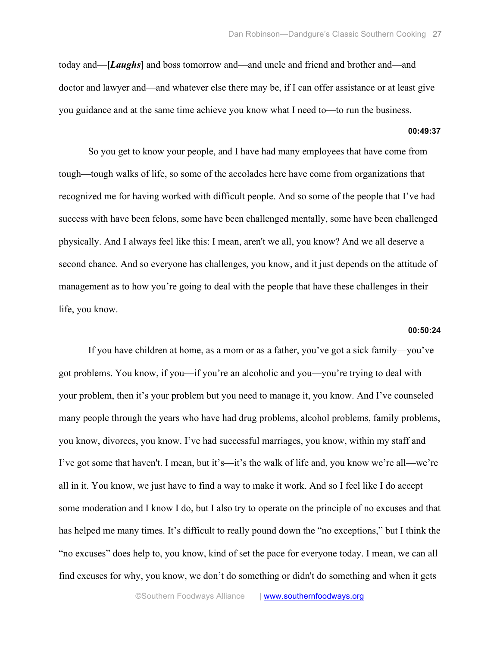today and—**[***Laughs***]** and boss tomorrow and—and uncle and friend and brother and—and doctor and lawyer and—and whatever else there may be, if I can offer assistance or at least give you guidance and at the same time achieve you know what I need to—to run the business.

#### **00:49:37**

So you get to know your people, and I have had many employees that have come from tough—tough walks of life, so some of the accolades here have come from organizations that recognized me for having worked with difficult people. And so some of the people that I've had success with have been felons, some have been challenged mentally, some have been challenged physically. And I always feel like this: I mean, aren't we all, you know? And we all deserve a second chance. And so everyone has challenges, you know, and it just depends on the attitude of management as to how you're going to deal with the people that have these challenges in their life, you know.

#### **00:50:24**

If you have children at home, as a mom or as a father, you've got a sick family—you've got problems. You know, if you—if you're an alcoholic and you—you're trying to deal with your problem, then it's your problem but you need to manage it, you know. And I've counseled many people through the years who have had drug problems, alcohol problems, family problems, you know, divorces, you know. I've had successful marriages, you know, within my staff and I've got some that haven't. I mean, but it's—it's the walk of life and, you know we're all—we're all in it. You know, we just have to find a way to make it work. And so I feel like I do accept some moderation and I know I do, but I also try to operate on the principle of no excuses and that has helped me many times. It's difficult to really pound down the "no exceptions," but I think the "no excuses" does help to, you know, kind of set the pace for everyone today. I mean, we can all find excuses for why, you know, we don't do something or didn't do something and when it gets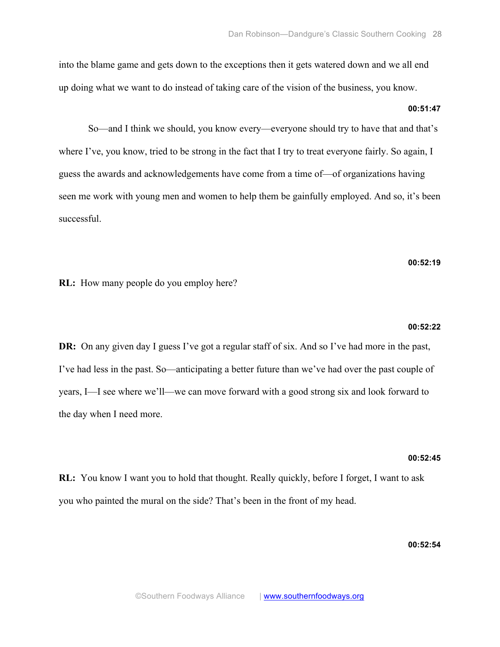into the blame game and gets down to the exceptions then it gets watered down and we all end up doing what we want to do instead of taking care of the vision of the business, you know.

# **00:51:47**

So—and I think we should, you know every—everyone should try to have that and that's where I've, you know, tried to be strong in the fact that I try to treat everyone fairly. So again, I guess the awards and acknowledgements have come from a time of—of organizations having seen me work with young men and women to help them be gainfully employed. And so, it's been successful.

## **00:52:19**

**RL:** How many people do you employ here?

#### **00:52:22**

**DR:** On any given day I guess I've got a regular staff of six. And so I've had more in the past, I've had less in the past. So—anticipating a better future than we've had over the past couple of years, I—I see where we'll—we can move forward with a good strong six and look forward to the day when I need more.

#### **00:52:45**

**RL:** You know I want you to hold that thought. Really quickly, before I forget, I want to ask you who painted the mural on the side? That's been in the front of my head.

# **00:52:54**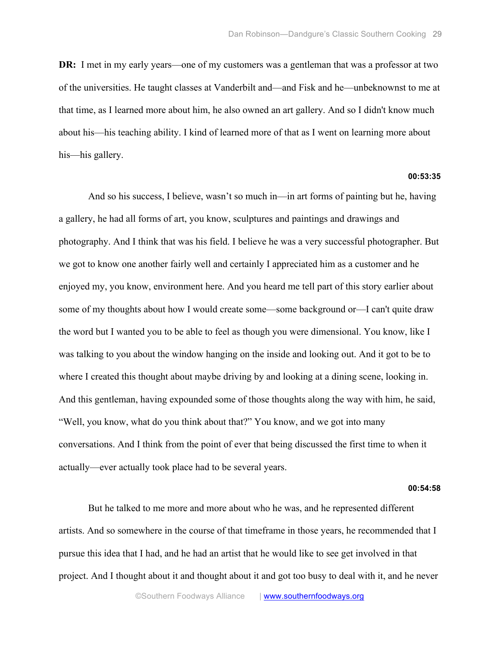**DR:** I met in my early years—one of my customers was a gentleman that was a professor at two of the universities. He taught classes at Vanderbilt and—and Fisk and he—unbeknownst to me at that time, as I learned more about him, he also owned an art gallery. And so I didn't know much about his—his teaching ability. I kind of learned more of that as I went on learning more about his—his gallery.

## **00:53:35**

And so his success, I believe, wasn't so much in—in art forms of painting but he, having a gallery, he had all forms of art, you know, sculptures and paintings and drawings and photography. And I think that was his field. I believe he was a very successful photographer. But we got to know one another fairly well and certainly I appreciated him as a customer and he enjoyed my, you know, environment here. And you heard me tell part of this story earlier about some of my thoughts about how I would create some—some background or—I can't quite draw the word but I wanted you to be able to feel as though you were dimensional. You know, like I was talking to you about the window hanging on the inside and looking out. And it got to be to where I created this thought about maybe driving by and looking at a dining scene, looking in. And this gentleman, having expounded some of those thoughts along the way with him, he said, "Well, you know, what do you think about that?" You know, and we got into many conversations. And I think from the point of ever that being discussed the first time to when it actually—ever actually took place had to be several years.

#### **00:54:58**

But he talked to me more and more about who he was, and he represented different artists. And so somewhere in the course of that timeframe in those years, he recommended that I pursue this idea that I had, and he had an artist that he would like to see get involved in that project. And I thought about it and thought about it and got too busy to deal with it, and he never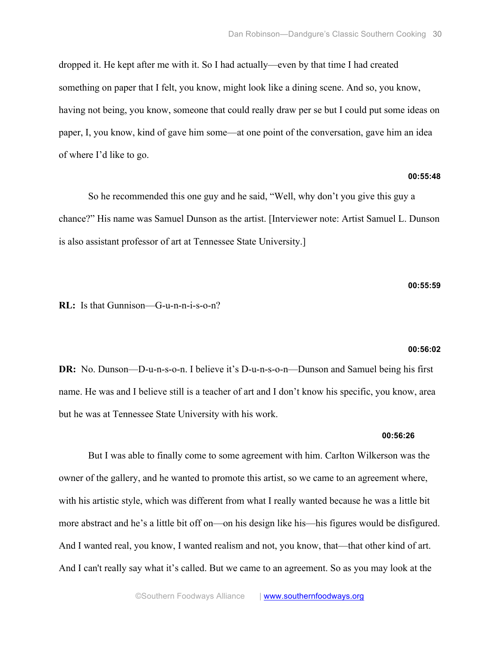dropped it. He kept after me with it. So I had actually—even by that time I had created something on paper that I felt, you know, might look like a dining scene. And so, you know, having not being, you know, someone that could really draw per se but I could put some ideas on paper, I, you know, kind of gave him some—at one point of the conversation, gave him an idea of where I'd like to go.

# **00:55:48**

So he recommended this one guy and he said, "Well, why don't you give this guy a chance?" His name was Samuel Dunson as the artist. [Interviewer note: Artist Samuel L. Dunson is also assistant professor of art at Tennessee State University.]

#### **00:55:59**

# **RL:** Is that Gunnison—G-u-n-n-i-s-o-n?

#### **00:56:02**

**DR:** No. Dunson—D-u-n-s-o-n. I believe it's D-u-n-s-o-n—Dunson and Samuel being his first name. He was and I believe still is a teacher of art and I don't know his specific, you know, area but he was at Tennessee State University with his work.

#### **00:56:26**

But I was able to finally come to some agreement with him. Carlton Wilkerson was the owner of the gallery, and he wanted to promote this artist, so we came to an agreement where, with his artistic style, which was different from what I really wanted because he was a little bit more abstract and he's a little bit off on—on his design like his—his figures would be disfigured. And I wanted real, you know, I wanted realism and not, you know, that—that other kind of art. And I can't really say what it's called. But we came to an agreement. So as you may look at the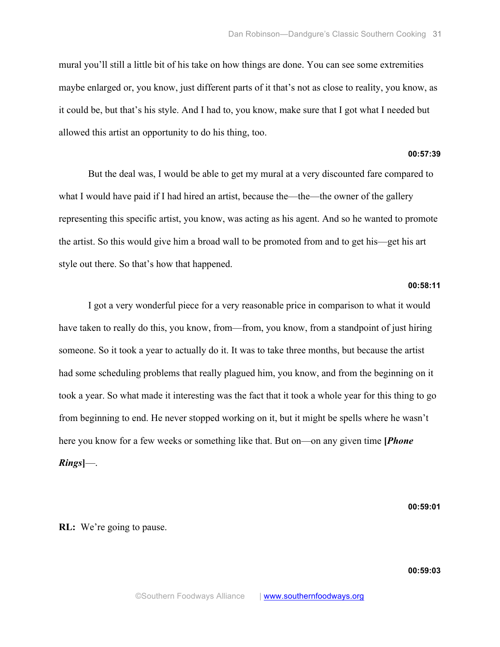mural you'll still a little bit of his take on how things are done. You can see some extremities maybe enlarged or, you know, just different parts of it that's not as close to reality, you know, as it could be, but that's his style. And I had to, you know, make sure that I got what I needed but allowed this artist an opportunity to do his thing, too.

## **00:57:39**

But the deal was, I would be able to get my mural at a very discounted fare compared to what I would have paid if I had hired an artist, because the—the—the owner of the gallery representing this specific artist, you know, was acting as his agent. And so he wanted to promote the artist. So this would give him a broad wall to be promoted from and to get his—get his art style out there. So that's how that happened.

## **00:58:11**

I got a very wonderful piece for a very reasonable price in comparison to what it would have taken to really do this, you know, from—from, you know, from a standpoint of just hiring someone. So it took a year to actually do it. It was to take three months, but because the artist had some scheduling problems that really plagued him, you know, and from the beginning on it took a year. So what made it interesting was the fact that it took a whole year for this thing to go from beginning to end. He never stopped working on it, but it might be spells where he wasn't here you know for a few weeks or something like that. But on—on any given time **[***Phone Rings***]**—.

**00:59:01**

## **RL:** We're going to pause.

**00:59:03**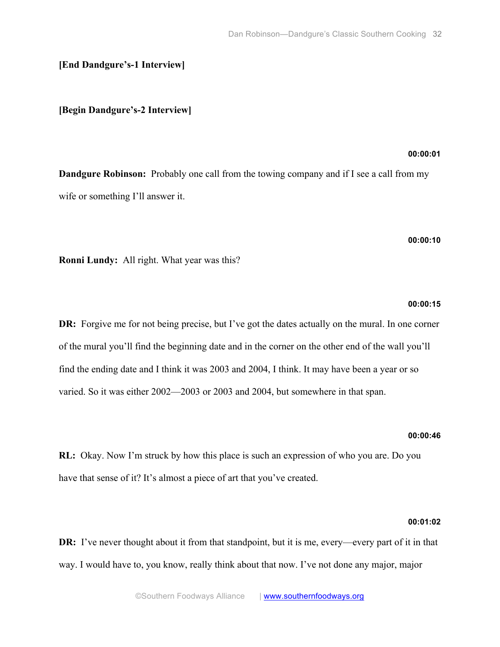# **[End Dandgure's-1 Interview]**

## **[Begin Dandgure's-2 Interview]**

## **00:00:01**

**Dandgure Robinson:** Probably one call from the towing company and if I see a call from my wife or something I'll answer it.

## **00:00:10**

**Ronni Lundy:** All right. What year was this?

#### **00:00:15**

**DR:** Forgive me for not being precise, but I've got the dates actually on the mural. In one corner of the mural you'll find the beginning date and in the corner on the other end of the wall you'll find the ending date and I think it was 2003 and 2004, I think. It may have been a year or so varied. So it was either 2002—2003 or 2003 and 2004, but somewhere in that span.

#### **00:00:46**

**RL:** Okay. Now I'm struck by how this place is such an expression of who you are. Do you have that sense of it? It's almost a piece of art that you've created.

#### **00:01:02**

**DR:** I've never thought about it from that standpoint, but it is me, every—every part of it in that way. I would have to, you know, really think about that now. I've not done any major, major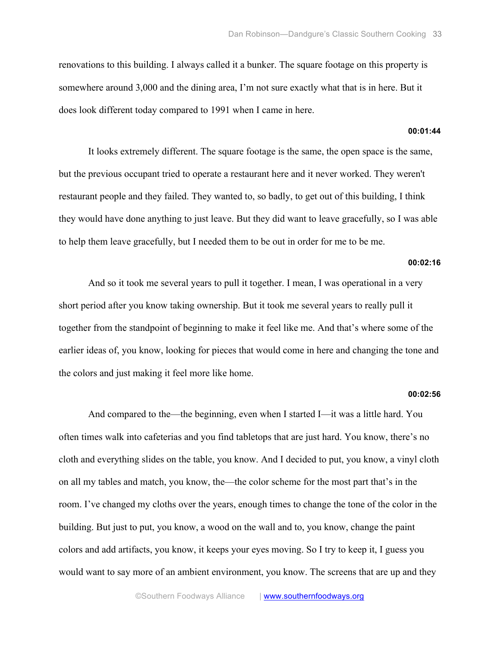renovations to this building. I always called it a bunker. The square footage on this property is somewhere around 3,000 and the dining area, I'm not sure exactly what that is in here. But it does look different today compared to 1991 when I came in here.

#### **00:01:44**

It looks extremely different. The square footage is the same, the open space is the same, but the previous occupant tried to operate a restaurant here and it never worked. They weren't restaurant people and they failed. They wanted to, so badly, to get out of this building, I think they would have done anything to just leave. But they did want to leave gracefully, so I was able to help them leave gracefully, but I needed them to be out in order for me to be me.

#### **00:02:16**

And so it took me several years to pull it together. I mean, I was operational in a very short period after you know taking ownership. But it took me several years to really pull it together from the standpoint of beginning to make it feel like me. And that's where some of the earlier ideas of, you know, looking for pieces that would come in here and changing the tone and the colors and just making it feel more like home.

#### **00:02:56**

And compared to the—the beginning, even when I started I—it was a little hard. You often times walk into cafeterias and you find tabletops that are just hard. You know, there's no cloth and everything slides on the table, you know. And I decided to put, you know, a vinyl cloth on all my tables and match, you know, the—the color scheme for the most part that's in the room. I've changed my cloths over the years, enough times to change the tone of the color in the building. But just to put, you know, a wood on the wall and to, you know, change the paint colors and add artifacts, you know, it keeps your eyes moving. So I try to keep it, I guess you would want to say more of an ambient environment, you know. The screens that are up and they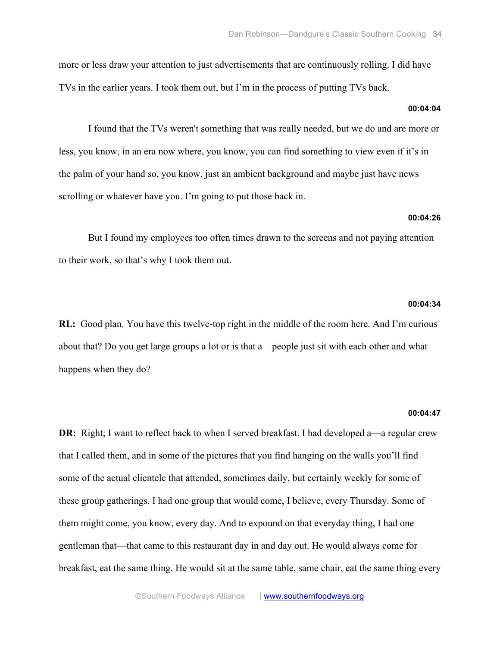more or less draw your attention to just advertisements that are continuously rolling. I did have TVs in the earlier years. I took them out, but I'm in the process of putting TVs back.

## **00:04:04**

I found that the TVs weren't something that was really needed, but we do and are more or less, you know, in an era now where, you know, you can find something to view even if it's in the palm of your hand so, you know, just an ambient background and maybe just have news scrolling or whatever have you. I'm going to put those back in.

#### **00:04:26**

But I found my employees too often times drawn to the screens and not paying attention to their work, so that's why I took them out.

#### **00:04:34**

**RL:** Good plan. You have this twelve-top right in the middle of the room here. And I'm curious about that? Do you get large groups a lot or is that a—people just sit with each other and what happens when they do?

#### **00:04:47**

**DR:** Right; I want to reflect back to when I served breakfast. I had developed a—a regular crew that I called them, and in some of the pictures that you find hanging on the walls you'll find some of the actual clientele that attended, sometimes daily, but certainly weekly for some of these group gatherings. I had one group that would come, I believe, every Thursday. Some of them might come, you know, every day. And to expound on that everyday thing, I had one gentleman that—that came to this restaurant day in and day out. He would always come for breakfast, eat the same thing. He would sit at the same table, same chair, eat the same thing every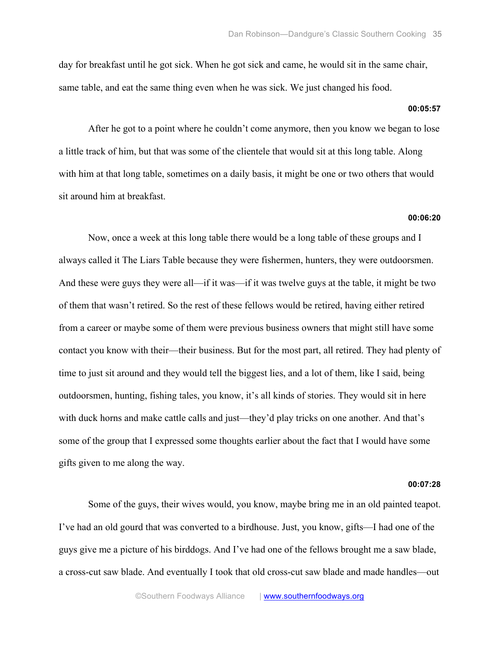day for breakfast until he got sick. When he got sick and came, he would sit in the same chair, same table, and eat the same thing even when he was sick. We just changed his food.

## **00:05:57**

After he got to a point where he couldn't come anymore, then you know we began to lose a little track of him, but that was some of the clientele that would sit at this long table. Along with him at that long table, sometimes on a daily basis, it might be one or two others that would sit around him at breakfast.

#### **00:06:20**

Now, once a week at this long table there would be a long table of these groups and I always called it The Liars Table because they were fishermen, hunters, they were outdoorsmen. And these were guys they were all—if it was—if it was twelve guys at the table, it might be two of them that wasn't retired. So the rest of these fellows would be retired, having either retired from a career or maybe some of them were previous business owners that might still have some contact you know with their—their business. But for the most part, all retired. They had plenty of time to just sit around and they would tell the biggest lies, and a lot of them, like I said, being outdoorsmen, hunting, fishing tales, you know, it's all kinds of stories. They would sit in here with duck horns and make cattle calls and just—they'd play tricks on one another. And that's some of the group that I expressed some thoughts earlier about the fact that I would have some gifts given to me along the way.

#### **00:07:28**

Some of the guys, their wives would, you know, maybe bring me in an old painted teapot. I've had an old gourd that was converted to a birdhouse. Just, you know, gifts—I had one of the guys give me a picture of his birddogs. And I've had one of the fellows brought me a saw blade, a cross-cut saw blade. And eventually I took that old cross-cut saw blade and made handles—out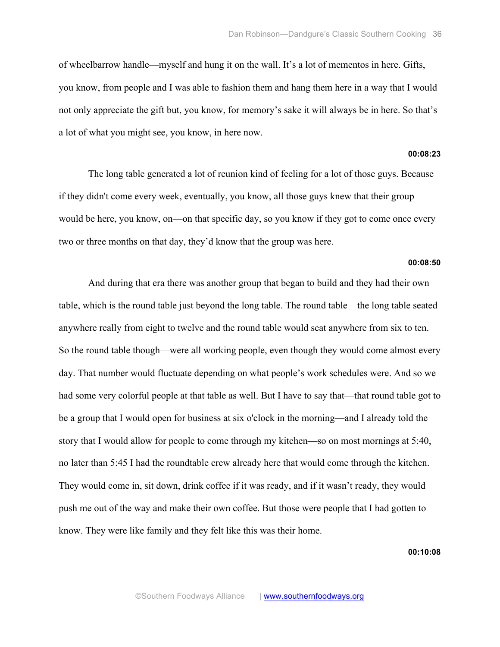of wheelbarrow handle—myself and hung it on the wall. It's a lot of mementos in here. Gifts, you know, from people and I was able to fashion them and hang them here in a way that I would not only appreciate the gift but, you know, for memory's sake it will always be in here. So that's a lot of what you might see, you know, in here now.

## **00:08:23**

The long table generated a lot of reunion kind of feeling for a lot of those guys. Because if they didn't come every week, eventually, you know, all those guys knew that their group would be here, you know, on—on that specific day, so you know if they got to come once every two or three months on that day, they'd know that the group was here.

#### **00:08:50**

And during that era there was another group that began to build and they had their own table, which is the round table just beyond the long table. The round table—the long table seated anywhere really from eight to twelve and the round table would seat anywhere from six to ten. So the round table though—were all working people, even though they would come almost every day. That number would fluctuate depending on what people's work schedules were. And so we had some very colorful people at that table as well. But I have to say that—that round table got to be a group that I would open for business at six o'clock in the morning—and I already told the story that I would allow for people to come through my kitchen—so on most mornings at 5:40, no later than 5:45 I had the roundtable crew already here that would come through the kitchen. They would come in, sit down, drink coffee if it was ready, and if it wasn't ready, they would push me out of the way and make their own coffee. But those were people that I had gotten to know. They were like family and they felt like this was their home.

**00:10:08**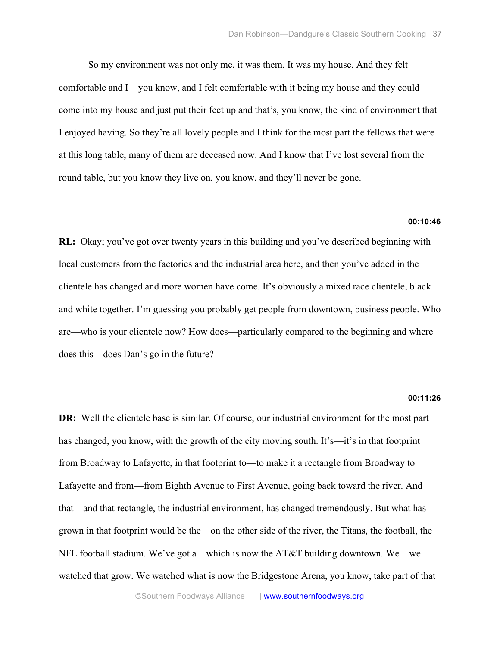So my environment was not only me, it was them. It was my house. And they felt comfortable and I—you know, and I felt comfortable with it being my house and they could come into my house and just put their feet up and that's, you know, the kind of environment that I enjoyed having. So they're all lovely people and I think for the most part the fellows that were at this long table, many of them are deceased now. And I know that I've lost several from the round table, but you know they live on, you know, and they'll never be gone.

## **00:10:46**

**RL:** Okay; you've got over twenty years in this building and you've described beginning with local customers from the factories and the industrial area here, and then you've added in the clientele has changed and more women have come. It's obviously a mixed race clientele, black and white together. I'm guessing you probably get people from downtown, business people. Who are—who is your clientele now? How does—particularly compared to the beginning and where does this—does Dan's go in the future?

#### **00:11:26**

**DR:** Well the clientele base is similar. Of course, our industrial environment for the most part has changed, you know, with the growth of the city moving south. It's—it's in that footprint from Broadway to Lafayette, in that footprint to—to make it a rectangle from Broadway to Lafayette and from—from Eighth Avenue to First Avenue, going back toward the river. And that—and that rectangle, the industrial environment, has changed tremendously. But what has grown in that footprint would be the—on the other side of the river, the Titans, the football, the NFL football stadium. We've got a—which is now the AT&T building downtown. We—we watched that grow. We watched what is now the Bridgestone Arena, you know, take part of that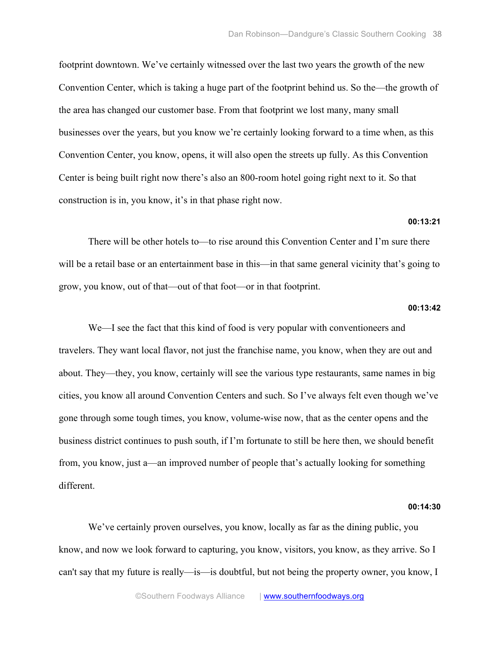footprint downtown. We've certainly witnessed over the last two years the growth of the new Convention Center, which is taking a huge part of the footprint behind us. So the—the growth of the area has changed our customer base. From that footprint we lost many, many small businesses over the years, but you know we're certainly looking forward to a time when, as this Convention Center, you know, opens, it will also open the streets up fully. As this Convention Center is being built right now there's also an 800-room hotel going right next to it. So that construction is in, you know, it's in that phase right now.

## **00:13:21**

There will be other hotels to—to rise around this Convention Center and I'm sure there will be a retail base or an entertainment base in this—in that same general vicinity that's going to grow, you know, out of that—out of that foot—or in that footprint.

## **00:13:42**

We—I see the fact that this kind of food is very popular with conventioneers and travelers. They want local flavor, not just the franchise name, you know, when they are out and about. They—they, you know, certainly will see the various type restaurants, same names in big cities, you know all around Convention Centers and such. So I've always felt even though we've gone through some tough times, you know, volume-wise now, that as the center opens and the business district continues to push south, if I'm fortunate to still be here then, we should benefit from, you know, just a—an improved number of people that's actually looking for something different.

#### **00:14:30**

We've certainly proven ourselves, you know, locally as far as the dining public, you know, and now we look forward to capturing, you know, visitors, you know, as they arrive. So I can't say that my future is really—is—is doubtful, but not being the property owner, you know, I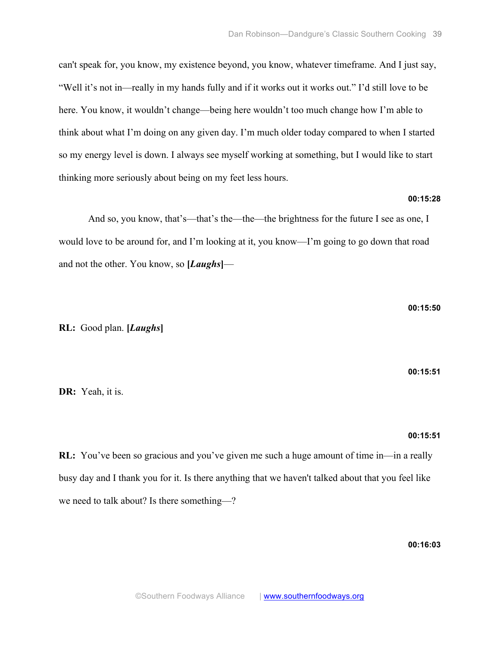can't speak for, you know, my existence beyond, you know, whatever timeframe. And I just say, "Well it's not in—really in my hands fully and if it works out it works out." I'd still love to be here. You know, it wouldn't change—being here wouldn't too much change how I'm able to think about what I'm doing on any given day. I'm much older today compared to when I started so my energy level is down. I always see myself working at something, but I would like to start thinking more seriously about being on my feet less hours.

## **00:15:28**

And so, you know, that's—that's the—the—the brightness for the future I see as one, I would love to be around for, and I'm looking at it, you know—I'm going to go down that road and not the other. You know, so **[***Laughs***]**—

**RL:** Good plan. **[***Laughs***]**

**DR:** Yeah, it is.

**00:15:51**

**00:15:50**

## **00:15:51**

**RL:** You've been so gracious and you've given me such a huge amount of time in—in a really busy day and I thank you for it. Is there anything that we haven't talked about that you feel like we need to talk about? Is there something—?

**00:16:03**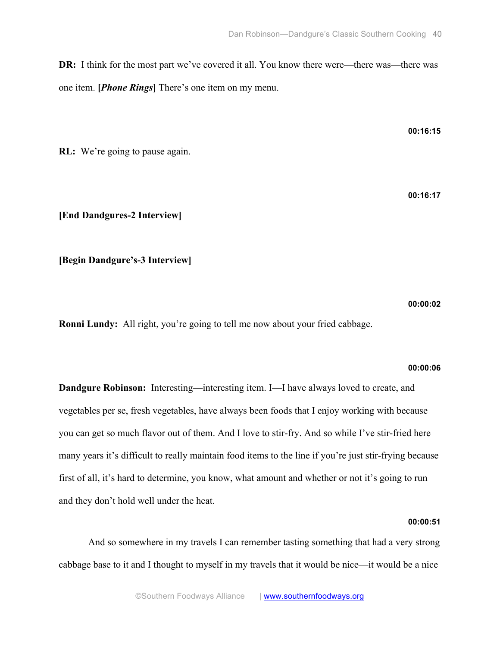**DR:** I think for the most part we've covered it all. You know there were—there was—there was one item. **[***Phone Rings***]** There's one item on my menu.

**RL:** We're going to pause again.

**[End Dandgures-2 Interview]**

**[Begin Dandgure's-3 Interview]**

**00:00:02**

**Ronni Lundy:** All right, you're going to tell me now about your fried cabbage.

## **00:00:06**

**Dandgure Robinson:** Interesting—interesting item. I—I have always loved to create, and vegetables per se, fresh vegetables, have always been foods that I enjoy working with because you can get so much flavor out of them. And I love to stir-fry. And so while I've stir-fried here many years it's difficult to really maintain food items to the line if you're just stir-frying because first of all, it's hard to determine, you know, what amount and whether or not it's going to run and they don't hold well under the heat.

## **00:00:51**

And so somewhere in my travels I can remember tasting something that had a very strong cabbage base to it and I thought to myself in my travels that it would be nice—it would be a nice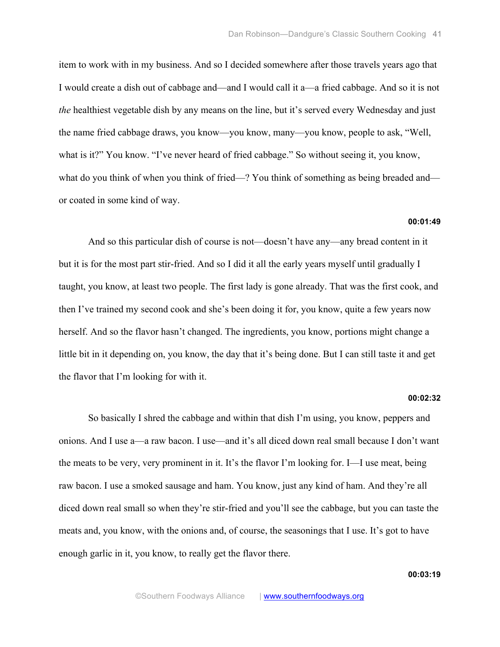item to work with in my business. And so I decided somewhere after those travels years ago that I would create a dish out of cabbage and—and I would call it a—a fried cabbage. And so it is not *the* healthiest vegetable dish by any means on the line, but it's served every Wednesday and just the name fried cabbage draws, you know—you know, many—you know, people to ask, "Well, what is it?" You know. "I've never heard of fried cabbage." So without seeing it, you know, what do you think of when you think of fried—? You think of something as being breaded and or coated in some kind of way.

## **00:01:49**

And so this particular dish of course is not—doesn't have any—any bread content in it but it is for the most part stir-fried. And so I did it all the early years myself until gradually I taught, you know, at least two people. The first lady is gone already. That was the first cook, and then I've trained my second cook and she's been doing it for, you know, quite a few years now herself. And so the flavor hasn't changed. The ingredients, you know, portions might change a little bit in it depending on, you know, the day that it's being done. But I can still taste it and get the flavor that I'm looking for with it.

#### **00:02:32**

So basically I shred the cabbage and within that dish I'm using, you know, peppers and onions. And I use a—a raw bacon. I use—and it's all diced down real small because I don't want the meats to be very, very prominent in it. It's the flavor I'm looking for. I—I use meat, being raw bacon. I use a smoked sausage and ham. You know, just any kind of ham. And they're all diced down real small so when they're stir-fried and you'll see the cabbage, but you can taste the meats and, you know, with the onions and, of course, the seasonings that I use. It's got to have enough garlic in it, you know, to really get the flavor there.

**00:03:19**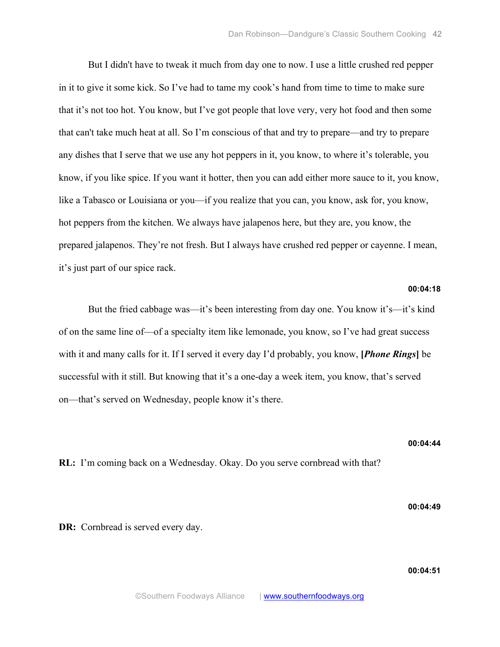But I didn't have to tweak it much from day one to now. I use a little crushed red pepper in it to give it some kick. So I've had to tame my cook's hand from time to time to make sure that it's not too hot. You know, but I've got people that love very, very hot food and then some that can't take much heat at all. So I'm conscious of that and try to prepare—and try to prepare any dishes that I serve that we use any hot peppers in it, you know, to where it's tolerable, you know, if you like spice. If you want it hotter, then you can add either more sauce to it, you know, like a Tabasco or Louisiana or you—if you realize that you can, you know, ask for, you know, hot peppers from the kitchen. We always have jalapenos here, but they are, you know, the prepared jalapenos. They're not fresh. But I always have crushed red pepper or cayenne. I mean, it's just part of our spice rack.

# **00:04:18**

But the fried cabbage was—it's been interesting from day one. You know it's—it's kind of on the same line of—of a specialty item like lemonade, you know, so I've had great success with it and many calls for it. If I served it every day I'd probably, you know, **[***Phone Rings***]** be successful with it still. But knowing that it's a one-day a week item, you know, that's served on—that's served on Wednesday, people know it's there.

**RL:** I'm coming back on a Wednesday. Okay. Do you serve cornbread with that?

**00:04:49**

**00:04:44**

**DR:** Cornbread is served every day.

**00:04:51**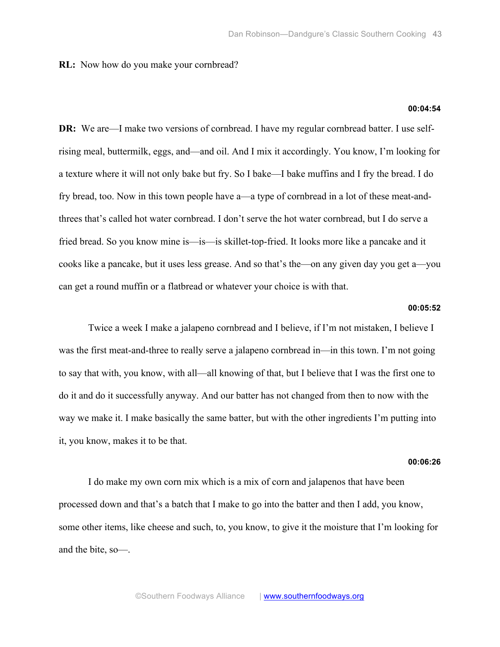# **RL:** Now how do you make your cornbread?

## **00:04:54**

**DR:** We are—I make two versions of cornbread. I have my regular cornbread batter. I use selfrising meal, buttermilk, eggs, and—and oil. And I mix it accordingly. You know, I'm looking for a texture where it will not only bake but fry. So I bake—I bake muffins and I fry the bread. I do fry bread, too. Now in this town people have a—a type of cornbread in a lot of these meat-andthrees that's called hot water cornbread. I don't serve the hot water cornbread, but I do serve a fried bread. So you know mine is—is—is skillet-top-fried. It looks more like a pancake and it cooks like a pancake, but it uses less grease. And so that's the—on any given day you get a—you can get a round muffin or a flatbread or whatever your choice is with that.

#### **00:05:52**

Twice a week I make a jalapeno cornbread and I believe, if I'm not mistaken, I believe I was the first meat-and-three to really serve a jalapeno cornbread in—in this town. I'm not going to say that with, you know, with all—all knowing of that, but I believe that I was the first one to do it and do it successfully anyway. And our batter has not changed from then to now with the way we make it. I make basically the same batter, but with the other ingredients I'm putting into it, you know, makes it to be that.

#### **00:06:26**

I do make my own corn mix which is a mix of corn and jalapenos that have been processed down and that's a batch that I make to go into the batter and then I add, you know, some other items, like cheese and such, to, you know, to give it the moisture that I'm looking for and the bite, so—.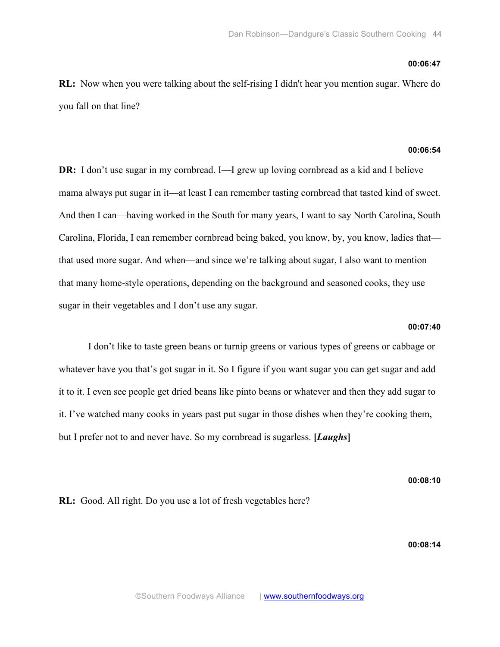#### **00:06:47**

**RL:** Now when you were talking about the self-rising I didn't hear you mention sugar. Where do you fall on that line?

## **00:06:54**

**DR:** I don't use sugar in my cornbread. I—I grew up loving cornbread as a kid and I believe mama always put sugar in it—at least I can remember tasting cornbread that tasted kind of sweet. And then I can—having worked in the South for many years, I want to say North Carolina, South Carolina, Florida, I can remember cornbread being baked, you know, by, you know, ladies that that used more sugar. And when—and since we're talking about sugar, I also want to mention that many home-style operations, depending on the background and seasoned cooks, they use sugar in their vegetables and I don't use any sugar.

## **00:07:40**

I don't like to taste green beans or turnip greens or various types of greens or cabbage or whatever have you that's got sugar in it. So I figure if you want sugar you can get sugar and add it to it. I even see people get dried beans like pinto beans or whatever and then they add sugar to it. I've watched many cooks in years past put sugar in those dishes when they're cooking them, but I prefer not to and never have. So my cornbread is sugarless. **[***Laughs***]**

**00:08:10**

**RL:** Good. All right. Do you use a lot of fresh vegetables here?

**00:08:14**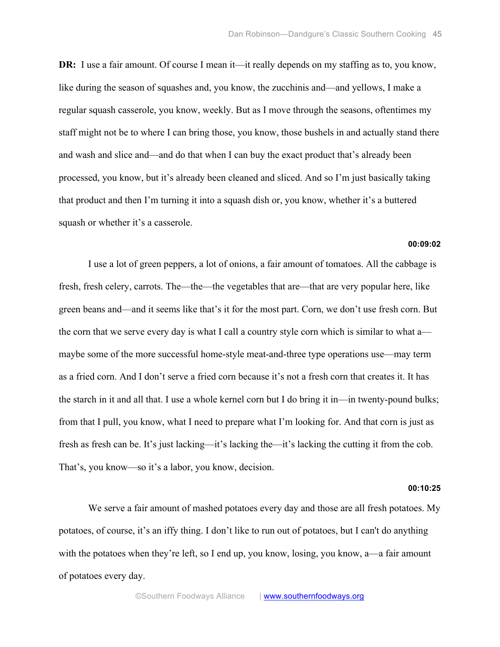**DR:** I use a fair amount. Of course I mean it—it really depends on my staffing as to, you know, like during the season of squashes and, you know, the zucchinis and—and yellows, I make a regular squash casserole, you know, weekly. But as I move through the seasons, oftentimes my staff might not be to where I can bring those, you know, those bushels in and actually stand there and wash and slice and—and do that when I can buy the exact product that's already been processed, you know, but it's already been cleaned and sliced. And so I'm just basically taking that product and then I'm turning it into a squash dish or, you know, whether it's a buttered squash or whether it's a casserole.

#### **00:09:02**

I use a lot of green peppers, a lot of onions, a fair amount of tomatoes. All the cabbage is fresh, fresh celery, carrots. The—the—the vegetables that are—that are very popular here, like green beans and—and it seems like that's it for the most part. Corn, we don't use fresh corn. But the corn that we serve every day is what I call a country style corn which is similar to what a maybe some of the more successful home-style meat-and-three type operations use—may term as a fried corn. And I don't serve a fried corn because it's not a fresh corn that creates it. It has the starch in it and all that. I use a whole kernel corn but I do bring it in—in twenty-pound bulks; from that I pull, you know, what I need to prepare what I'm looking for. And that corn is just as fresh as fresh can be. It's just lacking—it's lacking the—it's lacking the cutting it from the cob. That's, you know—so it's a labor, you know, decision.

#### **00:10:25**

We serve a fair amount of mashed potatoes every day and those are all fresh potatoes. My potatoes, of course, it's an iffy thing. I don't like to run out of potatoes, but I can't do anything with the potatoes when they're left, so I end up, you know, losing, you know, a—a fair amount of potatoes every day.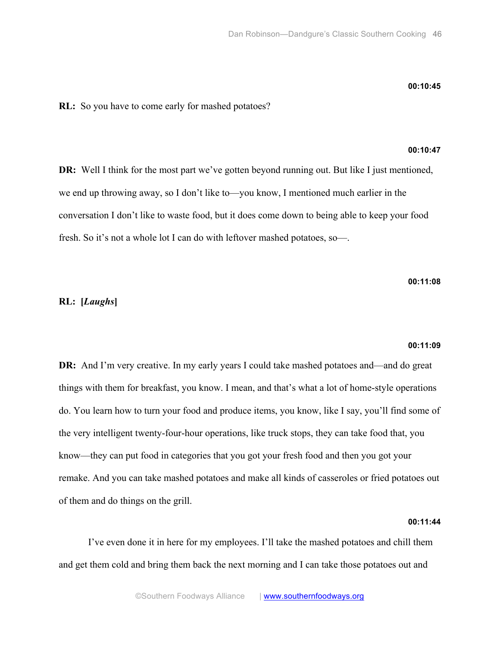#### **00:10:45**

**RL:** So you have to come early for mashed potatoes?

# **00:10:47**

**DR:** Well I think for the most part we've gotten beyond running out. But like I just mentioned, we end up throwing away, so I don't like to—you know, I mentioned much earlier in the conversation I don't like to waste food, but it does come down to being able to keep your food fresh. So it's not a whole lot I can do with leftover mashed potatoes, so—.

## **00:11:08**

# **RL: [***Laughs***]**

#### **00:11:09**

**DR:** And I'm very creative. In my early years I could take mashed potatoes and—and do great things with them for breakfast, you know. I mean, and that's what a lot of home-style operations do. You learn how to turn your food and produce items, you know, like I say, you'll find some of the very intelligent twenty-four-hour operations, like truck stops, they can take food that, you know—they can put food in categories that you got your fresh food and then you got your remake. And you can take mashed potatoes and make all kinds of casseroles or fried potatoes out of them and do things on the grill.

#### **00:11:44**

I've even done it in here for my employees. I'll take the mashed potatoes and chill them and get them cold and bring them back the next morning and I can take those potatoes out and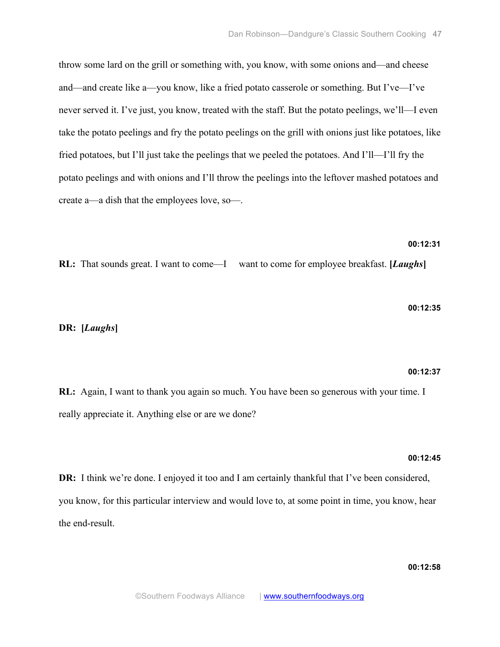throw some lard on the grill or something with, you know, with some onions and—and cheese and—and create like a—you know, like a fried potato casserole or something. But I've—I've never served it. I've just, you know, treated with the staff. But the potato peelings, we'll—I even take the potato peelings and fry the potato peelings on the grill with onions just like potatoes, like fried potatoes, but I'll just take the peelings that we peeled the potatoes. And I'll—I'll fry the potato peelings and with onions and I'll throw the peelings into the leftover mashed potatoes and create a—a dish that the employees love, so—.

# **00:12:31**

**RL:** That sounds great. I want to come—I want to come for employee breakfast. **[***Laughs***]**

#### **00:12:35**

## **DR: [***Laughs***]**

#### **00:12:37**

**RL:** Again, I want to thank you again so much. You have been so generous with your time. I really appreciate it. Anything else or are we done?

#### **00:12:45**

**DR:** I think we're done. I enjoyed it too and I am certainly thankful that I've been considered, you know, for this particular interview and would love to, at some point in time, you know, hear the end-result.

# **00:12:58**